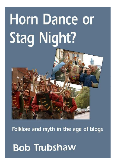# **Horn Dance or Stag Night?**

Folklore and myth in the age of blogs

**Bob Trubshaw**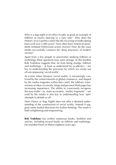Why is a stag night or an office in-joke as good an example of folklore as morris dancing or a fairy tale? Why does the rhetoric of eco-politics seem like the recycling of myths dating back well over 2,000 years? How often have American presidents imitated Hollywood action movies? How do the mass media successfully construct the 'deep structures' of modern society?

Apart from a few people in universities studying folklore or mythology these questions may seem strange. In this booklet Bob Trubshaw suggests that, far from being strange, folklore and mythology – at least as understood by academics – are key to understanding the processes by which we create our all-encompassing 'social reality'.

At a time when Western 'social reality' is increasingly contrived by the vested interests of global commerce, and shaped by the media magnates within that cartel, the folkloric transmission of ideas via emails, blogs and personal Web pages has increasing importance. The ability to consciously recognise the way myths – or, more accurately, 'mythic fragments' – are used by the media is also key to understanding how 'spin' attempts to delude us all.

*Horn Dance or Stag Night?* does not offer a detailed understanding of the construction of social reality. Instead it suggests some fruitful directions for further thinking. The result is both enlightening and empowering.

**Bob Trubshaw** has written numerous books, booklets and articles, including several books on folklore and mythology. He founded Heart of Albion eighteen years ago.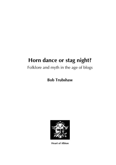## Folklore and myth in the age of blogs

## **Bob Trubshaw**



**Heart of Albion**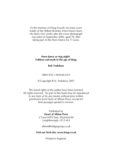To the memory of Doug Fowell, for many years leader of the Abbots Bromley Horn Dance team. He died a few weeks after the cover photograph was taken in September 2006, aged 78, after taking part in the Horn Dance for 71 years.

#### **Horn dance or stag night? Folklore and myth in the age of blogs**

#### **Bob Trubshaw**

ISBN 978-1-905646-05-0

© Copyright R.N. Trubshaw 2007

The moral rights of the author have been asserted. All rights reserved. No part of this book may be reproduced in any form or by any means without prior written permission from Heart of Albion Press, except for brief passages quoted in reviews.

> Published by **Heart of Albion Press** 2 Cross Hill Close, Wymeswold Loughborough, LE12 6UJ

albion@indigogroup.co.uk

#### **Visit our Web site: www.hoap.co.uk**

Printed in England.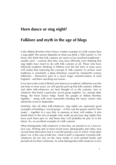## **Folklore and myth in the age of blogs**

Is the Abbots Bromley Horn Dance a better example of a folk custom than a stag night? The answer depends on what you think a 'folk custom' is. For those who think that folk customs are more-or-less fossilised traditional – usually rural – customs then they may have difficulty even thinking that stag nights have much to do with folk customs at all. Those who have followed academic thinking in folklore over the last forty or more years will realise that restricting the concept of 'folk customs' to archaic rural traditions is essentially a deep distortion caused by nineteenth century folklorists – themselves part of a much larger romanticisation of rural England – and their unwitting successors.

If we turn to the work of British and American academic folklorists over the last forty or more years, we will quickly pick up that folk customs, folklore and other folk-whatevers are best thought of as the customs, lore or whatever that bond a particular social group together. So, among other things, the Horn Dance helps 'bond' the people of Abbots Bromley together – along with more transiently bonding the many visitors who attend the event in September.

Similarly, like all other folk-whatevers, stag nights are supremely good examples of bonding a 'social group' – in this case the groom and his 'best mates' – together in a way that, in memory at least, will endure. It also bonds them to the mix of people who made up previous stag nights they have each been part of, and those they will probably be part of in the future. So, an excellent example of a folk custom?

What distinguishes folk-whatevers is that they are passed on in a face-toface way. Writing and, in more recent years, photography and video, may *record* what takes place but it is not the primary way in which 'what takes place' (or, in the case of folk lore, 'what is told') is repeated. Certainly folkwhatevers do not rely on the mass media or even printed books and periodicals for their continuity. So what distinguishes folk-whatevers is less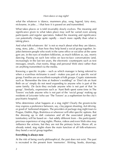*what* the whatever is (dance, mummers play, song, legend, fairy story, nickname, in joke… ) that how it is passed on and transmitted.

What takes places or is told invariably slowly evolves. The meaning and significance given to what takes place may well be varied even among participants and regular spectators. Indeed the meaning and significance can potentially change quite rapidly – much more rapidly than what is taking place.

And what folk-whatevers 'do' is not so much about what they are (dance, song, story, joke… ) than how they help bond a social group together. Injokes between people who work in the same office or socialise at the same gym are, in the eyes of modern folklorists, as much folklore as, say, morris dancing. Passing on such lore relies on face-to-face conversations (and, increasingly in the last ten years, the electronic counterparts such as text messages, emails, chat rooms, blogs and personal Web sites) rather than on anything transmitted via the media.

Knowing a specific in-joke – such as which manager is being referred to when a scurrilous nickname is used – makes you part of a specific social group. Families are an excellent example of folk groups. Cryptic statements such as 'Remember the time at Andrew's wedding?' or 'Don't do an Aunt Beth on us' simply do not need expanding to anyone who is part of the same family. *De facto* they exclude anyone who is not part of that 'in group'. Similarly, expressions such as 'Aunt Beth spent some time in The Towers' exclude anyone who is not part of the 'social group' making up residents of Leicester (who use 'The Towers' as a euphemism for the city's psychiatric hospital).

Who determines what happens at a stag night? Clearly the groom-to-be may express a preference between, say, clay pigeon shooting, 4x4 driving, or good ol' fashioned strippers. The providers of package stag night tours to Prague, Dublin, Riga, Bratislava or wherever will offer specific options. But the dressing up in daft costumes and all the associated joking and tomfoolery will be based on – but subtly different from – the participants' previous experience of stag nights. Photos, videos and even Web sites may *influence* the actions, but they are not the *primary* factor. Above all, as already noted, stag nights share the main function of all folk-whatevers: they bond a social group together.

#### **Everything is always now**

At the risk of being overly-philosophical, the past does not exist. The past is recreated in the present from 'memories'. Writing, books, drawings,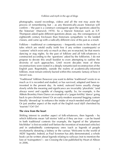photographs, sound recordings, videos and all the rest may assist the process of remembering but – as any theoretically-aware historian will confirm – 'the past is a construct consequent upon the questions asked by the historian' (Marwick 1970). So a Marxist historian such as E.P. Thompson asked quite different questions about, say, the consequences of eighteenth century Enclosure than historians sympathetic to the landed classes, and came up with a radically different view of the past as a result.

Folklore – traditional or contemporary – frequently exists in the realm of tales which are retold orally (with few if any written counterparts) or 'customs' which exist only so much as they are re-enacted, be that morris dancing or stag nights. So the past of folklore and all folk-whatevers is constructed according to the 'questions' asked by the folklorists. I do not propose to devote this small booklet to even attempting to outline the diversity of such approaches. Until recent decades most of these reconstructions were rooted in a deeply romanticised reconstruction of the English past. Regrettably, outside the realms of academically-informed folklore, most remain entirely buried within this romantic fantasy of how it (never) was.

'Traditional' folklore (however you want to define 'traditional') exists in so much as it is recorded and studied, or has survived, adapted and been reinvented in the present day. As noted, outward forms usually change slowly while the meaning and significance are invariably 'pluralistic' (and always were) and capable of changing rapidly. So, for example, is the Abbots Bromley Horn Dance an example of a 'pagan fertility' dance' going back to pre-christian times? Or an early-modern seasonal begging custom literally 'dressed up' to enhance the intake of much-needed small change? Or just another aspect of the myth of the English rural idyll cherished by 'tourists'? Or? Or?

#### **The view from the heart**

Shifting interest to another aspect of folk-whatevers, then legends – by which folklorists mean 'tall stories' told as if they are true – can be found in both traditional contexts (for example, the legend of the 'phantom hitchhiker' is first recorded well before the invention of motorised vehicles) and in undoubtedly contemporary ones (such as legends of people involuntarily donating a kidney or the various 'Welcome to the world of AIDS' legends). Indeed, as Paul Screeton has ably demonstrated, a whole book can be written about legends relating to railways (not to mention the lore of 'trainspotters') – see *Crossing the Line* published by Heart of Albion in 2006.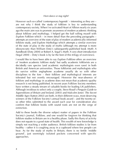However such so-called 'contemporary legends' – interesting as they are – are not why I think the study of folklore is key to understanding contemporary society. When I re-activated Heart of Albion nearly six years ago the main aim was to promote awareness of modern academic thinking about folklore and mythology. I helped get the ball rolling myself with *Explore Folklore* which – in more detail than the preceding paragraphs – attempts an overview of the state of play of modern academically-informed folklore study, and *Explore Mythology* which attempts a similar overview of the state of play in the study of myths (although my attempt is more idiosyncratic than William Doty's subsequently-published book *Myth: A handbook* (Doty 2004) or Robert A. Segal's *Myth: A very short introduction* (Segal 2004) – Doty's book is by far the best of this trilogy of overviews).

I would like to have been able to say *Explore Folklore* offers an overview of 'modern academic folklore study' but sadly academic folklorists are a decidedly rare species (and academic mythologists even rarer) in both British and American universities. Those folklorists and mythologists who do survive within anglophone academe usually do so with other disciplines to the fore – their folklore and mythological interests are tolerated but not overtly encouraged. However the near-absence of folklore and mythology in academe does not mean that academic-quality research is not being published. In recent years Folklore Society members have written a steady stream of valuable books for leading UK publishers. Although invidious to select only a couple, Steve Roud's *Penguin Guide to Superstitions of Britain and Ireland*, (2003) and Malcolm Jones' *The Secret Middle Ages* (Sutton 2002) are both, in their different ways, most deserving winners of the Folklore Society's annual book award – and the twenty-orso other titles submitted to the award each year for consideration also confirm that folklore books with sound roots are not on the verge of extinction.

Add to these books the diverse subject matter of papers in the Folklore Society's journal, *Folklore,* and one would be forgiven for thinking that folklore studies in Britain are in a healthy phase. Sadly this flurry of activity does not equate to a good state of health. This wealth of new knowledge is simply not reaching a wider audience. British folklore studies is far from healthy – rather it is coughing away in a cupboard where few people can hear. As for the study of myths in Britain, there is no fertile 'middle ground', just seemingly isolated pockets concerned with specific approaches.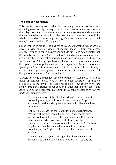#### **The heart of what matters**

This limited awareness is double frustrating because folklore and mythology – especially the ways in which they are transmitted and the role they play 'bonding' and defining social groups – are key to understanding the way societies – especially modern societies – create and transmit the whole caboodle of 'meaning and significance' that makes up 'social reality' (a term I will clarify on page 7).

Simon Danser, in his book *The Myths of Reality* (Alternative Albion 2005), covers a wide range of aspects of modern society – from commerce, science, through to consciousness and self-identity – and demonstrates that the usually unrecognised 'deep structures' underlying modern cultures are entirely mythic. In the realms of religion and politics we are accustomed to such remarks as 'other people have myths, we have religion' or castigating the 'spin doctors' of politicians we do not agree with (while comfortably ignoring the 'spin' of those we approve of). In the broad scheme of things, all such ideologies – religious, political, economic, scientific – are best thought of as a culture's 'deep structures'.

Danser, following a precedent set by a number of academics in various fields of cultural studies, equates these 'deep structures' of modern societies with the 'myths' of traditional societies. But surely myths are simply 'traditional stories' about gods and larger-than-life heroes? At this stage I can do no better than quote from the second chapter of *The Myths of Reality*. Danser writes:

> The original sense of the Greek word *mythoi* was to refer to something untrue, a 'tall story'. Indeed, the word 'myth' is commonly used in a derogatory sense that implies something is untrue.

> Yet 'myth' also has the sense of much deeper significance. We get a glimpse of this in the truism 'Other people have myths, we have religion', or the suggestion that 'Religion is what happens when you take myths too seriously.' Nevertheless, while is it easy to label other peoples' beliefs as 'myths' and thereby dismiss them as untrue, there is something about 'myths' that is deeper than their apparent content.

There is more to myths than larger-than-life characters and stories based on their activities. Myths are not just 'any old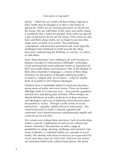stories' – otherwise we would call them stories, legends or tales. Myths may be thought of as akin to the lenses of spectacles. When we are wearing spectacles we do not see the lenses. We see *with them*. In the same way myths impart a worldview that is taken for granted. Only when we take off a pair of spectacles do we see the lenses. Only when we step back and think about myths can we begin to see how they shape what we think of as reality. The underlying 'assumptions' and structures presented (and, more typically, challenged and redefined) in myths provide the 'deep structures' underpinning the thinking of a society, or culture, or subculture.

Such 'deep structures' have nothing to do with Freudian or Jungian concepts of consciousness (although, confusingly, Freud and Jung both used traditional myths as inspiration for their own myths about consciousness). One of the deepest of these deep structures is language [...] Many of these deep structures are the systems of thought underlying politics, economics, religion and 'social norms' – what we usually think of as political and religious ideologies.

Children have a remarkable ability to intuitively develop a strong sense of reality and social norms. These are learned – although rarely in a conscious way – from parents, guardians and teachers, and during play activities. What emerges are shared definitions of reality (at the level of deep structures and ideologies) and ways of behaving which become takenfor-granted as 'reality'. Through a wide variety of social interactions – arguably, indeed *all* social interactions – this constructed sense of reality is shared, repeated and confirmed. Such shared structures simultaneously *enable* and *constrain* social activities.

We cannot exist without these structures. Each of us develops within a specific combination of such social, cultural and historic structures. This provides us with a range of possibilities to adopt, develop, challenge and transform. Our sense of identity is contained within our concepts of social reality. We identify with ideas of what we are expected to be much more than what we wish to be. And even our wishes are intimately linked with cultural expectations. We desire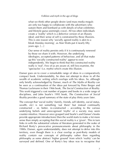what we think other people desire (and mass media moguls are only too happy to collaborate with the advertisers who sustain them and bombard us with details of what celebrities and lifestyle gurus seemingly crave). All too often individuals create a 'reality' which is a defective version of an illusory ideal; and their sense of self is constrained by these illusions. This is one reason why 'socially agreed reality is akin to a bleak Monday morning', as Alan Watts put it nearly fifty years ago. […]

Our sense of reality persists only if it is continuously renewed by those we share it with. However, the underlying ideologies, accepted patterns of behaviour, and all that make up this 'socially constructed reality' *appear* to exist independently. We begin to think that this constructed reality really is 'real'. Few of us are aware of, still less examine, the 'spectacles' (i.e. myths) which create this illusion.

Danser goes on to cover a remarkable range of ideas in a comparatively compact book. Understandably, he does not attempt to draw in all the wealth of academic writing which overlaps with his ideas. So, although only briefly acknowledged by Danser, much of *The Myths of Reality* can be seen as a continuation of the ideas put forward by Peter Berger and Thomas Luckmann in their 1966 book, *The Social Construction of Reality*. This work triggered a vast number of papers and books in a wide range of disciplines, and John Searle's 1995 book, *The Construction of Social Reality* provides a good summary of the state of play thirty years later.

The concept that 'social reality' (family, friends, self identity, social status, wealth, etc) is not something 'out there' but instead continually constructed – or, better, re-constructed – according to the various underlying beliefs and unrecognised 'myths' of a society may seem counter-intuitive. However once grasped (and Searle's and Danser's books provide appropriate introductions) then the world starts to make a lot more sense than simply accepting that this social reality is a 'given'. This in turn links in with the substantial volume of literature generated in the wake of Richard Rorty's provocative pronouncements about philosophy in the 1980s. Danser, again understandably, does not attempt to delve into this territory, even though there is a clear overlap as post-Rorty models of reality *contain* our concepts of philosophy rather than regarding philosophy as some abstract 'higher ground' from which 'reality' can be surveyed and defined. One of Rorty's key ideas was to recognise that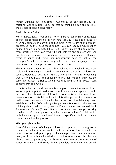human thinking does not simply respond to an external reality (his metaphor was to 'mirror' reality) but that our thinking is part-and-parcel of the process of constructing reality.

#### **Reality is not a 'thing'**

More interestingly, if our social reality is being continually constructed and/or reconstructed then by its very nature reality is less like a 'thing' (or even an aggregate of many things) but more in the nature of an unbroken process. So, as the Taoist sages opined, 'You can't study a whirlpool by taking it home in a bucket.' Likewise if 'reality' is more akin to a process than something which can readily be split into 'things' and 'actions' (and our language-dominated consciousnesses are programmed to think in terms of nouns and verbs) then philosophers need to look at the 'whirlpool', not the frozen 'snapshots' which our language – and consciousnesses – are predisposed to conceptualise.

This is all rather alien to Western philosophy as it has evolved since Plato – although intriguingly it would not be alien to pre-Platonic philosophers such as Heraclitus (*circa* 535–475 BC), who is most famous for believing that 'everything flows' and allegedly noting that 'we can't step into the same river twice' – a stance which would be familiar to his proto-Taoist contemporaries in China.

If Taoist-influenced models of reality as a process are alien to established Western philosophical traditions, then Rorty's radical approach looks (among other things) at philosophy from 'outside' the established conventions of what-philosophers-do. His attempts to offer a model of reality are entirely compatible with the construction of social reality theses established in the 1960s (although Rorty's precepts allow for other ways of thinking about reality too). Jonathan Potter's somewhat ignored book *Representing Reality* (Potter 1996) is one of the best attempts to bring together post-Rortyian philosophy with the construction of social reality, with the added appeal that Potter's interest is specifically in how language is fundamental to this process.

#### **Whirlpool philosophy**

One of the problems of taking a philosophical approach to the suggestion that social reality is a process is that it brings into close proximity the words 'process' and 'philosophy'. What's the problem I hear you mutter? Well, for those with any knowledge of the history of philosophy, then the phrase 'process philosophy' will bring to mind the dire ruminations of Alfred Whitehead and some fellow travellers in the early twentieth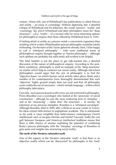century. Worse still, one of Whitehead's key publications is called *Process and reality – an essay in cosmology*. Without digressing into a detailed critique of Whitehead and his followers, the words 'process', 'reality' and 'cosmology' (by which Whitehead and other philosphers mean the 'deep structures' – a.k.a. 'myths' – of a society) offer far more interesting options for philosophical enquiry than those offered by Whitehead back in 1929.

If looking afresh at reality as a process needs a convenient cognomen then anything which evokes Whiteheadian process philosophy would be fatally misleading. On the basis of the Taoist aphorism already cited, I'd be happy to call it 'whirlpool philosophy' – with more traditional forms of philosophical enquiry brought together as 'bucket philosophy' – although such epithets are probably not sufficiently self-evident to be helpful.

This brief booklet is not the place to get side-tracked into a detailed discussion of the nature of philosophical enquiry. According to the post-Rorty worldview, philosophy is *itself* an example of the 'deep structures' (or myths) which help to construct our social reality. Although old-school philosophers would argue that the aim of philosophy is to find the 'objective bases' on which human social activity takes place, Rorty and a number of his contemporaries have thoroughly demonstrated that such 'objective' higher ground simply does not exist and that *all* philosophy exists *within* the social structures – which include language – within which philosophy takes place.

Crucially, such process-based world views are not restricted to philosophy. Pierre Bourdieu was a sociologist who looked at the 'processes' of social construction – although he uses the more endearing term of 'interplay' – and at the 'structuring' – rather than 'the structures' – of society. By extension of my previous metaphor, Bourdieu is a 'whirlpool sociologist'. Although Bourdieu died in 2002 after a thirty-or-so-year career in France, his ideas remain little-known in anglophone academe. This is unfortunate as his work is more insightful than better-known contemporary French intellectuals such as Jacques Derrida and Michel Foucault. Sadly the vast gulf between European and American intellectual traditions means that there is little chance of anyone exploiting the potential of combining Rorty's process philosophy with the 'interplay' sociology of Bourdieu to gain some real insights into structuring social reality.

#### **The myth of the Western rationalist myth**

One of the aspects of the Western rationalist 'myth' is that there is an objective reality which can be 'discovered' by philosophy or the 'hard'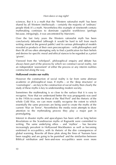sciences. But it is a myth that the 'Western rationalist myth' has been shared by all Western intellectuals – certainly the majority of 'ordinary' people think it's a myth. Nevertheless this example of nineteenth century mythmaking continues to dominate capitalist worldviews (perhaps because, intriguingly, it was uncontested by Marxism).

Over the last forty years the Western rationalist myth has been conclusively debunked (although it would be hard to tell from much writing aimed at the general public) and its various philosophical models revealed as products of their own preconceptions – with philosophers and their ilk all too often attempting only to find a justification for their beliefs and desires for specific moral and ethical stances to be regarded as *a priori* 'givens'.

Vieewed from the 'whirlpool', philosophical enquiry and debate has always been *part* of the process by which we construct social reality, not an independent 'assessment' of either the process or any interim realities constructed along the way.

#### **Hollywood creates our reality**

However the construction of social reality is far from some abstruse academic or philosophical issue. If myths – or the 'deep structures' or 'cosmologies' – are key to the construction of social reality then clearly the study of these myths is key to understanding modern society.

Sometimes the mythmaking is so close to the surface that it is easy to recognise. Now that we understand better the way propaganda was used in the 1950s to create the threat of the 'Red Peril' and the rhetoric of the whole Cold War, we can more readily recognise the extent to which essentially the same processes are being used to create the myths of the current 'War on Terror'. Nevertheless the media resist attempts to draw attention to the mythmaking process they play a major part in promulgating.

Interest in disaster myths and apocalypses has been with us long before *Revelations* or the Scandinavian myths of Ragnarök were committed to writing. The same underlying ethos – and 'mythos' – has become increasingly prevalent in Hollywood blockbusters as well as becoming enshrined in eco-politics, with its rhetoric of the dire consequences of global warming. Rewrite all these plots along the lines of 'humans have been naughty and are going to be punished' and the similarities between Biblical retribution and here-and-now eco-politics seem even more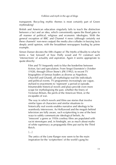transparent. Recycling mythic themes is most certainly part of Green mythmaking!

British and American education singularly fails to teach the distinction between a fact and an idea, which conveniently opens the flood gates to all manner of political, religious and economic ideologies. With the general exception of BBC and Channel 4 news (although certainly not these channels' non-news output) the media also colludes in burying facts deeply amid opinion, with the broadsheet newspapers leading by prime example.

Simon Danser devotes the fifth chapter of *The Myths of Reality* to what he terms a 'fast forward' of how Holly wood and TV construct such 'intersections' of actuality and aspiration. Again it seems appropriate to quote directly:

> Film and TV frequently seek to blur the borderline between fiction, fact and speculation. From Sergei Eisenstein's *October* (1928), through Oliver Stone's *JFK* (1992), to recent TV biographies of famous leaders as diverse as Napoleon, Churchill and Ghandi, all mythologise real-life individuals and political events. TV programmes increasingly use vague, stylised re-enactments to 'represent' a period or episode. Innumerable historical novels and plays provide even more scope for mythologising the past, whether the finery of Victorian Britain, the perils of the American West, or the escapades of war.

> The way in which novels and films use stories that involve similar types of characters and similar situations to historically real events enables narrative and ideology to be seamlessly interwoven. As Hollywood and the moguls behind television are fully aware, such scriptwriting is one of the best ways to subtly communicate ideological beliefs. As 'innocent' a genre as 1950s cowboy films are populated with racist stereotypes and, in hindsight, are as much about myths of white supremacy as propaganda films put out by the Third Reich.

 $[...]$ 

The antics of the Lone Ranger now seem to be the main inspiration for the 'scriptwriters' of the world's gung-ho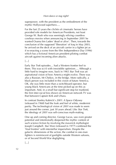superpower, with the president as the embodiment of the mythic Hollywood superhero….

For the last 25 years the clichés of cinematic heroes have provided role models for American Presidents, not least George W. Bush who was seemingly reliving countless cowboys movies when announcing in September 2001 he wanted Osama bin Laden 'dead or alive'. Then, towards the conclusion of the supposed 'liberation' of Iraq in May 2003, he arrived on the deck of an aircraft carrier in a fighter jet as if re-enacting a scene from the film *Independence Day* (1996) which has a fictional American president piloting combat aircraft against incoming alien attacks.

[…]

Early *Star Trek* episodes… had a Western frontier feel to them. This was sci-fi with irresistible optimism…. Although a little hard to imagine now, back in 1965 *Star Trek* was an aspirational vision of how America might evolve. There was also a Russian, Mr Chekov, in the bridge. More radically, a black person was included in this vision of future America. OK, she was little more than a switchboard operator, but young black Americans at the time picked up on this as important. And, in a small but significant step for mankind, the first inter-racial kiss shown on American network TV was that between Captain Kirk and Uhura.

In contrast Stanley Kubrick's *2001: A Space Odyssey* (released in 1968) had the look and feel of white, modernist purity. The technological vision of *2001* was made to seem just around the corner, just 30 years ahead. Like *Star Trek*, the ideology of *2001* was self-conscious myth-making.

One up and coming director, George Lucas, saw even greater potential and intentionally deepened the mythic content of such science fiction by involving the maverick mythologist Joseph Campbell. *Star Wars* (released in 1977) combined the 'final frontier' with interstellar imperialism. Despite the galactic dimensions of the action, the combat in one-man fighters is reminiscent of gunfights outside Western saloons, or of Second World War dogfighting.

[…]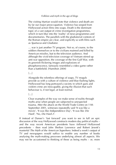The visiting Martian would note that violence and death are by far our major preoccupation. Violence has seeped from Hollywood action films into soaps. Death is the dominant topic of a vast output of crime investigation programmes, which in turn blur into the 'reality' of news programmes and documentaries. The parallels with the gladiatorial contests of the Roman empire are clear, and explicitly so with films such as *Spartacus* and *Gladiator*.

… war is just another TV program. Not so, of course, to the soldiers themselves or to the civilians maimed and killed by American missiles, but to the television audience. And although the vivid television coverage of Vietnam stirred up anti-war opposition, the coverage of the first Gulf War, with its greenish flickering images and explosions of phosphorescence, famously resembled a video game rather than a battlefield. (Hamilton 2004)

 $\Box$ 

Alongside the relentless offerings of soaps, TV moguls provide us with a culture of violence and blue flashing lights. Hollywood has long portrayed a society in which guns and violent crime are inescapable, giving the illusion that such behaviour is, if not legal, at least normal.

[…]

Clear examples of the way we make sense of reality through myths arise when people are subjected to unexpected trauma. After the attack on the World Trade Centre on 11th September 2001, witnesses repeatedly said 'It was like a movie', 'It was like *Independence Day'*, 'It was like *Die Hard*', 'No, *Die Hard 2*'.

If instead of Danser's 'fast forward' you want to see in full an epic discussion of the way Hollywood constructs modern day political myths – and the way recent American presidents have *followed* Hollywood precedents – then read John Shelton Lawrence and Robert Jewett's masterful *The Myth of the American Superhero*. Indeed a week's output of TV and newspapers would suffice to enable any number of books analysing the myth-making processes underlying almost all aspects. We may not be accustomed to thinking of these as being myths – or, more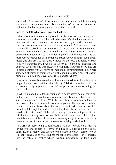accurately, fragments of bigger mythic meta-narratives which are rarely encountered in their entirety – but then few of us are accustomed to looking at the 'lenses' though which we view the world.

#### **Back to the folk-whatevers – and the buckets**

If the mass media create and promulgate the modern day myths, what about folklore and all the other folk-whatevers? If folk-whatevers are what bond social groups together then they too are key to understanding the social construction of reality. As already outlined, folk-whatevers were traditionally passed on by face-to-face discussions or re-enactments. However with the emergence of telephones and phonograms this became extended from face-to-face to a wider range of aural interactions. And the more recent emergence of informal text-based 'conversations', such as text messaging and emails, has greatly increased the ease and range of such 'folkloric transmission'. I would go as far as to include blogging and personal Web sites into this category of 'folkloric transmission' as they are in clear contrast with all forms of 'mediated' communication (i.e. where some sort of editor or commercially-influenced 'publisher' has – at least in principle – an influence over what is said and to whom).

If, as I think is sensible, we take 'folkloric transmission' to include a wide range of Web-based activities then clearly 'folkloric transmission' is now an exceptionally important aspect of the processes of constructing our social reality.

So why is such folkloric transmission and in-depth assessment of the mythmaking processes in contemporary culture largely ignored by those who study contemporary culture? With the exception of John Storey (and the late Roland Barthes), I am not aware of anyone in the realms of Cultural Studies who even thinks about the folkloric and mythic aspects of their discipline (although I would be most interested to hear from anyone who can dispute that remark). At the risk of mixing too many metaphors, it is as if Cults Studs simply want to 'snapshot' specific aspects of culture rather than take a video of the culture as a process – again, just the same as taking home a bucket of water is not the same as studying a whirlpool.

If I wasn't so busy trying to run Heart of Albion I would enjoy delving further into the impact of Rorty's and Bourdieu's ideas on the social construction of reality, and especially the extent to which Taoism – which is usually translated as 'way' but has the sense of 'process' – offers insights into the nature of reality which Western philosophy (at least since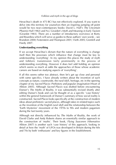Heraclitus's death in 475 BC) has not effectively explored. If you want to delve into this territory for yourselves then an inspiring jumping off point would be two near-contemporary books: David L. Hall's *The Uncertain Phoenix* Hall 1982) and N.J. Girardot's *Myth and Meaning in Early Taoism* (Girardot 1983). There are a number of introductory overviews ot Rorty and Bourdieu which will serve as guides to these authors' own worsk – see Brandom 2000; Festenstein and Thompson 2001; Vieth 2005; Grenfell and Hardy 2007.

#### **Understanding everything**

If we accept Heraclitus's dictum that the nature of everything is change itself then the processes which influence that change must be key to understanding 'everything'. In my opinion this places the study of myth and folkloric transmission fairly prominently in the process of understanding everything. However it does feel odd holding an opinion which seems so much at odds the approaches of those whose academic careers are based on studying aspects of 'everything'.

If all this seems rather too abstract, then let's get up close and personal with some specifics. I have already written about the invention of such concepts as nature, countryside, the rural idyll, heritage, etc in the opening chapter of my *Sacred Places: Prehistory and popular imagination* (Heart of Albion 2005). Although *Sacred Places* was drafted before encountering Danser's *The Myths of Reality*, it was substantially revised shortly after editing Danser's book and can be thought of as a specific 'case history' within the general framework of Danser's summary of how social reality is constructed. *Sacred Places* looks specifically at the construction of modern ideas about prehistoric sacred places, although takes in related topics such as the invention of the English rural idyll and the relationship between the 'Earth Mysteries' movement of the 1970s to 90s and modern paganism during the last twenty years.

Although not directly influenced by *The Myths of Reality*, the work of David Clarke and Andy Roberts shares an essentially similar approach to the construction of 'myths'. Their book, *Flying Saucerers* (Alternative Albion 2007) is another such 'case history' of this approach, looking in detail at how the 'myth' of UFOs was developed in Britain during the 60s and 70s by both 'enthusiasts' and key figures in the Establishment.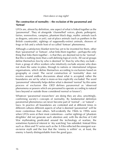#### **The construction of normality – the exclusion of the paranormal and 'fortean'**

UFOs are, almost by definition, one aspect of what islinked together as the 'paranormal'. They sit alongside 'channelled' voices, ghosts, poltergeist, fairies, werewolves, vampires, phantom black dogs, mythic animals (such as dragons, unicorns or yeti), out-of-place animals (such as panthers in the British countryside), sightings of supposedly-extinct animals, showers of frogs or fish and a whole host of so-called 'fortean' phenomena.

Although a satisfactory blanket term has yet to be invented for them, other than 'paranormal' or 'fortean', what links them together – perhaps the only thing that links them together – is that they are deemed not to be 'normal'. But this is nothing more than a self-defining logical circle. All social groups define themselves less by who is deemed 'in' than by who they *exclude* – from a group of office workers who intuitively exclude anyone who does not share the same in-jokes, through to nations or international religious organisations, which define themselves according to exclusions based on geography or creed. The social construction of 'normality' does not revolve around endless discussions about what is *accepted*; rather the boundaries are set by what is more-or-less explicitly *excluded*. The word 'paranormal' inherently helps define what is deemed 'normal' by this same process of exclusion (the *OED* defines paranormal as 'observed phenomena or powers which are presumed to operate according to natural laws beyond or outside those considered normal or known').

Whatever 'paranormal researchers' are doing they are also, unwittingly, confirming society's concepts of normality. By fundamental definition paranormal phenomena can never become part of 'normal' – or 'natural' – laws. In practice all boundaries are contested and at different times in different cultures different aspects of what is deemed 'paranormal' will be more contentious than others. Self-evidently the 1960s to 1990s were when UFOs were at their most contentious – earlier sightings of 'phantom dirigibles' did not generate such attention and, with the decline of Cold War mythmaking predicated around the technology of warfare, the sometimes hysterical interest in 'sky watching' has subsided. Instead films such as *Alien* and TV series such as the *X-Files* reflected the emergent waron-terror myth and the fear that the 'enemy is within' or, at least, the enemy is barely distinguishable from the good guys.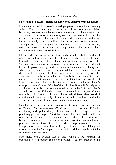#### **Fairies and princesses – classic folklore versus contemporary folklorists**

In the days before UFOs were invented, people still reported encountering 'aliens'. They had a variety of names – such as trolls, elves, pixies, brownies, boggarts, leprechauns plus an entire army of dialect variations, and even a number of euphemisms, such as 'the wee folk' – but the collective term 'fairies' has generally been used for over a hundred years. Fairies reputedly lived in hollow hills rather than hollow saucers – although since the set designers for *Teletubbies* subverted that distinction, we now have a generation of young adults who perhaps think extraterrestrials live in hollow hills too.

Like all myths and folktales, 'fairy lore' can be seen to be both a product of underlying cultural beliefs and also a key way in which those beliefs are transmitted – and, over time, challenged and changed. Strip away the Victorian nursery tale writers who made fairies wee and twee, and adorned them with gossamer wings, and you see a much darker world of fairy, one where fairies were as big as normal adults, bad tempered, always dangerous-to-know and often treacherous or best avoided. They were the 'bogeymen' of early modern Europe. How beliefs in fairies fitted into earlier British societies – and, if only by the sustained interest, how they fit into modern perceptions of the past – is revealed in Jeremy Harte's exemplary book *Explore Fairy Traditions* (Explore Books 2004). My own admiration for this book is not an anomaly – it won the Folklore Society's annual book award. If the idea of wee and twee fairies puts you off, then read this book. Firstly it will reveal the entirely different dark world of traditional fairy lore. Secondly it is masterclass in how to think – and write about – traditional folklore in an entirely contemporary manner.

Excellent and innovatory in somewhat different ways is Brendan McMahon's *The Princess Who Ate People* (Heart of Albion 2006). By combining a deep knowledge of Irish myth with his expertise as a practising psychotherapist, McMahon shows that these traditional tales offer 'life cycle narratives' – such as how to deal with adolescence, bereavement and such like – in ways which he considers are much more powerful than, say, those offered by Freudian therapies. Again, both a reinterpretation of traditional lore in the light of modern day thinking and also a 'prescriptive' example of how myth and lore can beneficially structure our sense of self.

Both Harte and McMahon step beyond looking at the 'function' of traditional lore in modern society and instead reveal the creation of the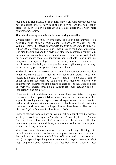meaning and significance of such lore. However, such approaches need not be applied only to fairy tales and Irish myths. As the next section discusses, such folkloric approaches are also appropriate with more contemporary topics.

#### **The role of out-of-place animals in constructing normality**

Cryptozoology – the study or 'imaginary' or out-of-place animals – is a curious overlap of social mythmaking, folklore and zoology. As Paul Williams shows in *Howls of Imagination: Wolves of England* (Heart of Albion 2007), wolves got a seriously 'bad press' at the hands of medieval Christian theologians and this myth persisted into nineteenth century fairy tales and subsequent horror stories and films. The number of wolf attacks on humans makes them less dangerous than elephants – and much less dangerous than tigers or hippos – yet few if any horror stories feature the threat from elephants, tigers or hippos. Medieval mythmaking set the stage for modern day preconceptions of fear – and fantasy.

Medieval bestiaries can be seen as the origin for a number of mythic ideas which are current today – such as 'wily' foxes and 'proud' lions. Peter Heseltine's book *A Bestiary of Brass* (Heart of Albion 2006) taks an unconventional approach by combining this medieval folklore with contemporary illustrations of the beasts concerned – as they were depicted on memorial brasses, providing a curious crossover between folklore, iconography and art history.

Unconventional in a different way is Richard Freeman's take on dragons. Starting from the copious folklore about these mythic creatures he then applies his zoological and crytozoological expertise and tries to identify if real – albeit somewhat anomalous and probably now locally-extinct – creatures could have been the inspiration for these legends. The result is his book *Explore Dragons* (Explore Books 2006).

Likewise starting from folklore but with a vast number of credible witness sightings to assist her enquiries, Merrily Harpur's investigation into *Mystery Big Cats* (Heart of Albion 2006) also explores the overlap with other paranormal phenomena and strongly-held opinions that such out-of-place animals are living in Britain.

Much less certain is the status of phantom black dogs. Sightings of a broadly similar nature are known throughout Europe and – as Simon Burchell reveals in *Phantom Black Dogs of Latin America* (Heart of Albion 2007) – in Spanish-speaking South America also. *Explore Phantom Black Dogs* (Explore Books 2005) was the first book-length study of these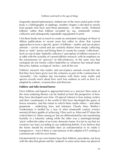frequently-attested phenomena. Indeed one of the most useful parts of the book is a bibliography of sightings. Another chapter is devoted to emails from people who have seen these phantoms – in other words, 'firsthand folklore' rather than folklore recorded by, say, nineteenth century collectors and subsequently repeatedly regurgitated in print.

I list these books not so much to create an annotated catalogue of Heart of Albion publications in recent years but rather to show that current approaches to even a specific 'genre' of folklore – mythic and out-of-place animals – can be varied and are certainly distinct from simply collecting them as 'static' stories and listing them in county-by-county 'collections'. Such an out-of-date 'butterfly collector's' perception of folklore research is at odds with the actuality of current folklore research, with its emphasis on the transmission (or 'process') of folk-whatevers, in the same way that zoologists do not merely collect butterflies or whatever but instead study lifecycles, habitat, ecological 'niches', and all the rest.

Folkloric research into mythic and out-of-place animals reveals the role that they have been given over the centuries as part of the construction of 'normality'. Our modern day fascination with these same myths and species reveals much about how such lore endures as well as how it is adapted by authors, screenwriters and directors.

#### **Folklore and fully-formed horror**

Once folklore and legend is approached more as a 'process' then some of the more enduring themes can be looked at from the perspective of how they have developed over time. Of special interest is how fantasy writers and their counterparts in the world of film have developed the genre of horror monsters, and the extent to which these myths reflect – and often perpetrate – underlying fears and fantasies. Clearly Mary Shelley's *Frankenstein* is fuelled by a fear of what nineteenth century science seemed all-but-capable of achieving. Films such as *Alien* and *ET* share the central them of 'aliens among us' but are differentiated by one manifesting fearfully in a futuristic setting while the other was a seemingly-benign 'pixie' within the safety of an iconic domestic home. It is fair to say that we construct our fears according to our underlying beliefs. If we believe that the home should be inviolable then an extraterrestrial in its midst is transgressive – even if there is cute humour in the subplot of ET wishing to communicate with his own home.

Extraterrestrials in our own homes have their folkloric precedents, not least with the idea that ghosts and the 'undead' in some sense share our physical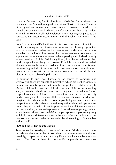space. In *Explore Vampires* (Explore Books 2007) Bob Curran shows how revenants have featured in legends ever since Classical Greece. The fears of imagined encounters with these undead however changed as the Catholic medieval era evolved into the Reformation and then early modern Rationalism. However all such evolutions are as nothing compared to the successive influences of fiction writers and filmmakers over the last 150 years.

Both Bob Curran and Paul Williams in his book on wolves venture into the equally enduring mythic territory of werewolves, showing again that folklore evolves according to the fears – and underlying myths – of societies. In traditional lore werewolves sometimes seem to equate to a euphemism for outlaws – or even perhaps paedophiles. Indeed in early written versions of Little Red Riding Hood, it is the sexual rather than nutritive appetite of the granny/werewolf which is explicitly revealed, although nineteenth century bowdlerisation soon subverted that. As ever, the meaning and significance of such tales was almost certainly much deeper than the superficial subject matter suggests – and no doubt both pluralistic and capable of rapid change.

In addition to such well-known horror genres as vampires and werewolves, there are aspects of 'normality' which are neither especially normal, nor usually approached from the perspective of folklore or myth. Michael Hallowell's *Invizikids* (Heart of Albion 2007) is an innovatory study of 'invisible' childhood friends (or, as he prefers to term them, 'quasicorporal companions') based on cross-cultural interviews. He not only fundamentally questions almost all the prior assumptions about what such imaginary friends are – both from a psychological and paranormal perspective – but also raises some serious questions about why parents are usually happy for their children to play frequently with these strange and unknown entities, whereas the presence of a real-life stranger might trigger a near-hysterical response. *Invizikids* is a perceptive and pioneering study which, in quite a different way to say the study of mythic animals, shows how society constructs what is deemed to be 'threatening' or 'acceptable' and 'normal'.

#### **F&M and the British counterculture**

Two somewhat overlapping areas of modern British counterculture provide excellent examples of how ideas can be transmitted – and, most certainly, adapted – without any significant involvement by the mass media. The first of these is one specific approach to 'alternative'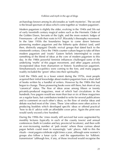archaeology known among its aficionados as 'earth mysteries'. The second is the broad spectrum of ideas which come together as 'modern paganism'.

Modern paganism is slightly the older, evolving in the 1940s and 50s out of early twentieth century magical orders such as the Hermetic Order of the Golden Dawn, Servants of the Light, and the more esoteric lodges of Freemasons – all with their roots in H.P. Blavatsky's theosophy movement. In the later 1950s the boundaries began to come down between pioneering modern paganism and the hitherto quite distinct (and, until then, distinctly unpagan) Druidic revival groups that dated back to the nineteenth century. Once the 1960s counter-culture began to take off then modern paganism and 'exotic' Eastern beliefs intermingled to create something of the blend of ideas at the core of modern paganism to this day. In the 1980s powerful feminist influences challenged some of the underlying 'myths' of this pagan movement, and other pagans actively incorporated ideas from shamanism or historic Scandinavian paganism. Simultaneously eco-politics were coming to the fore, and many pagans readily included the 'green' ethos into their spirituality.

Until the 1960s and, to a lesser extent during the 1970s, most people acquired their initial knowledge about modern paganism from a short shelf of books written by a handful of writers. However by the 1980s this had begun to change. These pioneering books were still there, but shorn of any 'canonical' status. The flow of ideas arose among fifteen or twenty privately-produced magazines, most of which had circulations in the hundreds. Few pagans would see more than four or six of these magazines on a regular basis, but contributors tended to write for several publications and to comment on each other's ideas, so the flow of similar ideas and debate reached most of the 'zines. These 'zine editors were often active in producing booklets which developed specific ideas or offered practical 'how to do it' advice with an affordable cover price. Again the print runs would rarely exceed a few hundred.

During the 1990s the 'zines mostly still survived but were augmented by monthly lectures (typically in each of the county towns) and annual conferences (both in London and key provincial locations), and then with an ever-increasing number of 'pub moots' where those curious about pagan beliefs could meet in reassuringly 'safe' places. Add to this the rituals – most pagans celebrate eight times a year, although some women's groups also follow a lunar cycle – and the opportunities for 'folkloric transmission' (although few, if any, of those involved would recognise the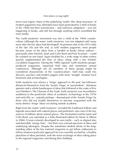term) were legion. Many of the underlying 'myths' (the 'deep structures' of modern paganism) may ultimately have been generated by a shelf of books in the 1960s but their transmission – and extensive adaptation – was not happening in books, and still less through anything which resembled the mass media.

The 'earth mysteries' movement was also a child of the 1960s counterculture (although the name 'earth mysteries' was not adopted until many years after the key ideas had developed). Its pioneers met in the UFO clubs of the late 50s and 60s and, as with modern paganism, most people became aware of the ideas from a handful of books whose authors – principally John Michell, Janet and Colin Bord and Paul Screeton – could be counted on one hand. Again booklets by a wide range of other writers quickly supplemented the flow of ideas, along with a few limitedcirculation magazines. During the 1980s regional 'earth mysteries groups' produced magazines, organised field trips and sometimes annual conferences. Although not all members of these groups might be considered characteristic of the 'counterculture', field trips could mix dowsers, psychics and modern pagans with fairly 'straight' amateur local historians and archaeologists.

Earth mysteries was always a 'fringe' approach to the past, but followers distanced themselves from the 'lunatic fringe' of 'pyramidiots', Atlantean questers and a whole bandwagon of ideas that followed in the wake of Eric von Däniken's *The Chariots of the Gods*. Earth mysteries was nevertheless anathema to the positivistic ethos of academic archaeology in the 1970s and early 80s, so – unjustly perhaps – deemed part of the 'lunatic fringe' by those who did not trouble themselves to become acquainted with the many distinct 'fringe' ideas circulating outside academe.

Right from the outset 'earth mysteries' included the traditional folkore and legends associated with natural places and prehistoric sites (one of the key sources of folklore about natural places, *The Enchanted Land* by Janet and Colin Bord, was reprinted as a fully-illustrated edition by Heart of Albion in 2006). It most certainly developed its own myths – such as aligned sites and dowsable 'energy lines' – but there was a broad spectrum of ideas and underlying ideologies. Despite the sometimes strident efforts of the longstanding editor of the key national magazine to get fellow enthusiasts to follow whatever particular approach he was currently excited by, a healthy pluralism of ideas persisted, with the main exchange of ideas taking place in the regional magazines and during their fieldtrips.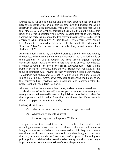During the 1970s and into the 80s one of the few opportunities for modern pagans to meet up with earth mysteries enthusiasts and, indeed, the whole spectrum of British counterculture, was at the various 'free festivals' which took place at various locations throughout Britain, although the hub of this ritual cycle was undoubtedly the summer solstice festival at Stonehenge. (Among the early instigators of the free festival movement were a bunch of anarchists who – inspired by William Blake – styled themselves 'Albion Free State'; by a somewhat circuitous path this led to the adoption of 'Heart of Albion' as the name for my publishing activities when they started in 1989.)

After sustained attempts by the tabloid press to discredit the participants, the free festival movement was violently attacked at the so-called 'Battle of the Beanfield' in 1986 at roughly the same time Margaret Thatcher contrived vicious attacks on the miners and print unions. Nevertheless Stonehenge remains an icon of the British counterculture. There is little point in trying to summarise here the way Stonehenge has acted as the focus of countercultural 'myths' as Andy Worthington's book *Stonehenge: Celebration and subversion* (Alternative Albion 2004) has done a superb job of exploring this. Andy shows that, despite extensive media attention, the countercultural 'mythos' was developed and communicated by processes that I would term 'folkloric'.

Although the free festival scene is no more, and earth mysteries reduced to a pale shadow of its former self, modern paganism goes from strength to strength. Anyone interested in researching folklore transmission of ideas 'as they happen' would do well to focus their attention on the different strands that make up paganism in Britain today.

#### **Looking at the lenses**

- Q: What is the dominant metaphor of the age any age?
- A: What that age accepts as literal.

#### Aphorism reported by Raymond Williams

The purpose of this booklet has been to outline that folklore and mythology – even though we may not think of them as such – are as integral to modern societies as we customarily think they are to more traditional worldviews. Indeed, not only are they integral to modern thinking, but they provide the 'deep structures' – up to and including our philosophical models of what we take to be 'reality' – and an increasingly important aspect of the transmission of those 'deep structures'.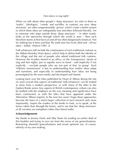When we talk about other people's 'deep structures' we refer to them as 'myths', 'ideologies', 'creeds' and suchlike. In contrast, our own 'deep structures' are often unquestionable 'givens' which create a belief system in which these ideas are indisputably true and often followed literally. Yet to someone who steps outside those 'deep structures' – in other words, looks at the spectacles through which the world is seen – then such literalism seems at best farcical and all too often dangerously fanatical. Not for nothing has it been said that 'By myth man has lived, died and – all too often – killed.' (Puhvel 1987: 2)

Folk-whatevers still include the continuation of such traditional customs as the Abbots Bromley Horn dance, which help to define both the identity of the village and the sort of people who attend traditional folk customs. However the in-jokes shared in an office, or the 'transgressive' rituals of stag and hen nights, just as equally serve to bond – and implicitly if not explicitly – exclude people who are not part of that 'in group'. Such 'folkloric transmission' is key to understanding how mythic ideas adapt and transform, and especially to understanding how ideas not being promulgated by the mass media and developed and shared.

Looking back over the titles published by Heart of Albion during the last six years reveals that aspects of traditional 'folk-whatevers' can be looked at anew from a modern perspective, as with many of the titles in the Explore Books series. Key aspects of British contemporary culture can also be studied with the emphasis on the way meaning and significance have been constructed, as with the titles that have appeared under the Alternative Albion imprint. In the next few years I hope these approaches become the basis of a much larger collection of such research and, more importantly, inspire the readers of the books to look, so to speak, *at* the lenses rather than *through* the lenses, and to see that the 'deep structures' of all societies are metaphors rather than literal truths.

#### **Acknowledgements**

My thanks to Jeremy Harte and Alby Stone for reading an earlier draft of this booklet and trying to save me from the errors of my generalisations. Remaining shameful generalisations and errant opinions are, of course, entirely of my own making.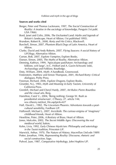#### **Sources and works cited**

- Berger, Peter and Thomas Luckmann, 1997, *The Social Construction of Reality: A treatise in the sociology of knowledge,* Penguin (1st publ. USA 1966).
- Bord, Janet and Colin, 2006, *The Enchanted Land: Myths and legends of Britain's landscape*, Heart of Albion; (1st published 1995).
- Brandom, Robert B., 2000, *Rorty and His Critics*, Blackwell.
- Burchell, Simon, 2007, *Phantom Black Dogs of Latin America,* Heart of Albion.
- Clarke, David and Andy Roberts, 2007, *Flying Saucers: A social history of UFOlogy*, Alternative Albion.
- Curran, Bob, 2007, *Explore Vampires*, Explore Books.

Danser, Simon, 2005, *The Myths of Reality*, Alternative Albion.

- Denning, Kathryn, 1999, 'Apocalypse past/future: Archaeology and folklore, writ large', in C. Holtorf and A. Gazin-Schwartz (eds), *Archaeology and Folklore*, Routledge.
- Doty, William, 2004, *Myth: A handbook*, Greenwood.
- Festenstein, Matthew and Simon Thompson, 2001, *Richard Rorty: Critical dialogues*, Polity Press.
- Freeman, Richard, 2006, *Explore Dragons,* Explore Books.
- Girardot, N.J., 1983, *Myth and Meaning in Early Taoism,* University of California Press.
- Grenfell, Michael and Cheryl Hardy, 2007, *Art Rules: Pierre Bourdieu and the visual arts,* Berg.
- Hamilton, Carol V., 2004, 'Being nothing: George W. Bush as presidential simulacrum', *CTheory*, 27, article 144; ww.ctheory.net/text\_file.asp?pick=427
- Hall, David L., 1982, *The Uncertain Phoenix: Adventures towards a postcultural sensibility,* Fordham UP.
- Hallowell, Michael J., 2007, *Invizikids: The curious enigma of 'imaginary' childhood friends*, Heart of Albion.
- Heseltine, Peter, 2006, *A Bestiary of Brass,* Heart of Albion.
- Jones, Malcolm, 2002, *The Secret Middle Ages: Discovering the real medieval world,* Sutton.
- Kohn, Livia, 1992, *Early Chinese Mysticism: Philosophy and soteriology in the Taoist tradition,* Princeton UP.
- Marwick, Arthur, 1970, *The Nature of History,* Macmillan (3rd edn 1989)
- Potter, Jonathan, 1996, *Representing Reality: Discourse, rhetoric and social construction*, Sage.
- Puhvel, Jaan, 1987, *Comparative Mythology*, John Hopkins UP.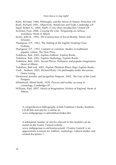- Rorty, Richard, 1980, *Philosophy and the Mirror of Nature*, Princeton UP.
- Rorty, Richard, 1991, *Objectivity, Relativism and Truth*, Cambridge UP.
- Segal, Robert A., 2004, *Myth: A very short introduction,* Oxford UP.
- Screeton, Paul, 2006, *Crossing the Line: Trespassing on railway weirdness*, Heart of Albion.
- Searle, John R., 1995, *The Construction of Social Reality,* Simon and Schuster.
- Thompson, E.P., 1963, *The Making of the English Working Class,* Gollanz.
- Thompson, E.P., 1993, *Customs in common: Studies in traditional popular culture,* The New Press.
- Trubshaw, Bob, 2002, *Explore Folklore*, Explore Books
- Trubshaw, Bob, 2003, *Explore Mythology*, Explore Books
- Trubshaw, Bob, 2005, *Sacred Places: Prehistory and popular imagination*, Heart of Albion.
- Trubshaw, Bob (ed), 2005, *Explore Phantom Black Dogs,* Explore Books.
- Vieth , Andreas, 2005, *Richard Rorty: His philosophy under discussion*, Ontos Verlag.
- Westwood, Jennifer and Jacqueline Simpson, 2005, *The Lore of the Land,* Penguin.
- Whitehead, Alfred North, 1929, *Process and reality: an essay in cosmology,* Cambridge UP.
- Williams, Paul, 2007, *Howls of Imagination: Wolves of England*, Heart of Albion.

A comprehensive bibliography of Bob Trubshaw's books, booklets, CD-ROMs and articles is online at: www.indigogroup.co.uk/trubshaw/index.htm

A substantial number of articles relevant to this booklet can be found on the Foamy Custard website

www.indigogroup.co.uk/foamycustard/ ('Foamy Custard' is an approximate acronym for 'folklore, mythology, cultural studies and related disciplines'.)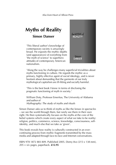# **Myths of Reality Simon Danser**

'This liberal author's knowledge of contemporary society is amazingly broad. He exposits the mythic depths (and appearances) of everything from 'the myth of science' to superhero attitudes of contemporary American nationalism.



'Along the way he challenges many superficial trivialities about myths functioning in culture. He regards the mythic as a primary, highly effective agent of social ideology, and is never hesitant about demanding that the garments of our truly mythological capitalism are ill-fitting and socially harmful.

'This is the best book I know in terms of disclosing the pragmatic functioning of myth in society.'

William Doty, Professor Emeritus, The University of Alabama and author of *Mythography: The study of myths and rituals*

Simon Danser asks us to think of myths as like the lenses in spectacles – we see the world through them, but rarely see them in their own right. He then systematically focuses on the myths at the core of the belief systems which create every aspect of what we take to be reality: religion, politics, commerce, science, knowledge, consciousness, selfidentity, and much else that we take as 'given'.

This book reveals how reality is culturally constructed in an evercontinuing process from mythic fragments transmitted by the mass media and adapted through face-to-face and Internet conversations.

ISBN 978 1872 883 809. Published 2005. Demy 8vo (215 x 138 mm), 205 + xiv pages, paperback. **£12.95**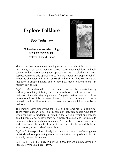# **Explore Folklore**

**Bob Trubshaw**

#### **'A howling success, which plugs a big and obvious gap'** Professor Ronald Hutton



There have been fascinating developments in the study of folklore in the last twenty-or-so years, but few books about British folklore and folk customs reflect these exciting new approaches. As a result there is a huge gap between scholarly approaches to folklore studies and 'popular beliefs' about the character and history of British folklore. *Explore Folklore* is the first book to bridge that gap, and to show how much 'folklore' there is in modern day Britain.

*Explore Folklore* shows there is much more to folklore than morris dancing and fifty-something folksingers! The rituals of 'what we do on our holidays', funerals, stag nights and 'lingerie parties' are all full of 'unselfconscious' folk customs. Indeed, folklore is something that is integral to all our lives – it is so intrinsic we do not think of it as being 'folklore'.

The implicit ideas underlying folk lore and customs are also explored. There might appear to be little in common between people who touch wood for luck (a 'tradition' invented in the last 200 years) and legends about people who believe they have been abducted and subjected to intimate body examinations by aliens. Yet, in their varying ways, these and other 'folk beliefs' reflect the wide spectrum of belief and disbelief in what is easily dismissed as 'superstition'.

*Explore Folklore* provides a lively introduction to the study of most genres of British folklore, presenting the more contentious and profound ideas in a readily accessible manner.

ISBN 978 1872 883 601. Published 2002. Perfect bound, demi 8vo (215x138 mm), 200 pages, **£9.95**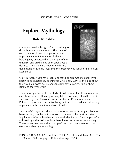# **Explore Mythology**

### **Bob Trubshaw**

Myths are usually thought of as something to do with 'traditional cultures'. The study of such 'traditional' myths emphasises their importance in religion, national identity, hero-figures, understanding the origin of the universe, and predictions of an apocalyptic demise. The academic study of myths has



done much to fit these ideas into the preconceived ideas of the relevant academics.

Only in recent years have such long-standing assumptions about myths begun to be questioned, opening up whole new ways of thinking about the way such myths define and structure how a society thinks about itself and the 'real world'.

These new approaches to the study of myth reveal that, to an astonishing extent, modern day thinking is every bit as 'mythological' as the worldviews of, say, the Classical Greeks or obscure Polynesian tribes. Politics, religions, science, advertising and the mass media are all deeply implicated in the creation and use of myths.

*Explore Mythology* provides a lively introduction to the way myths have been studied, together with discussion of some of the most important 'mythic motifs' – such as heroes, national identity, and 'central places' – followed by a discussion of how these ideas permeate modern society. These sometimes contentious and profound ideas are presented in an easily readable style of writing.

ISBN 978 1872 883 625. Published 2003. Perfect bound. Demi 8vo (215 x 138 mm), 220 + xx pages, 17 line drawings. **£9.95**